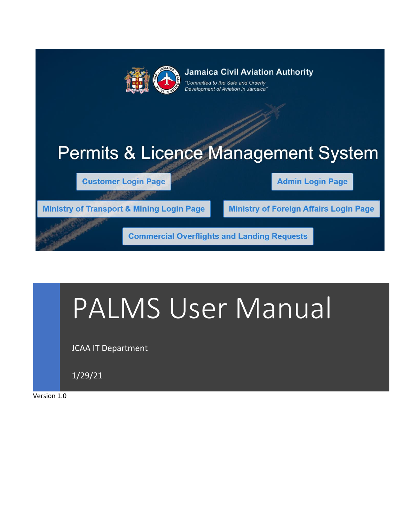

**Jamaica Civil Aviation Authority** Committed to the Safe and Orderly

Development of Aviation in Jamaica

# **Permits & Licence Management System**

**Customer Login Page** 

**Admin Login Page** 

**Ministry of Transport & Mining Login Page** 

**Ministry of Foreign Affairs Login Page** 

**Commercial Overflights and Landing Requests** 

# PALMS User Manual

JCAA IT Department

1/29/21

Version 1.0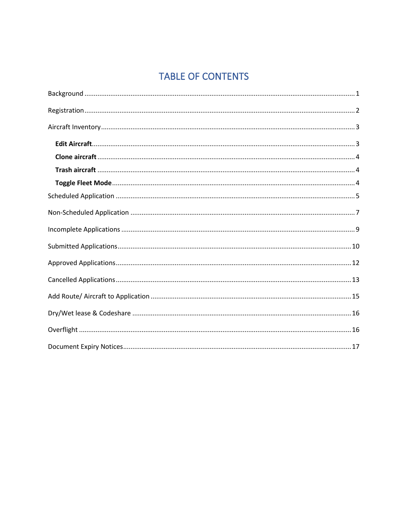# **TABLE OF CONTENTS**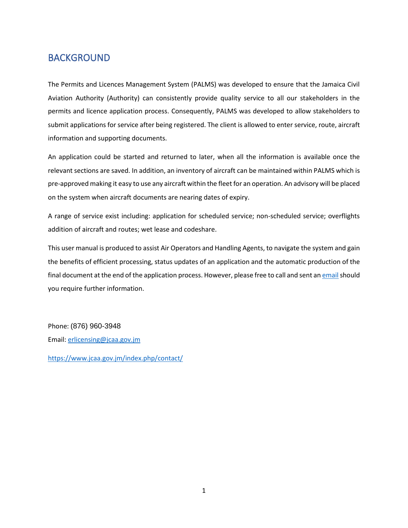#### <span id="page-2-0"></span>BACKGROUND

The Permits and Licences Management System (PALMS) was developed to ensure that the Jamaica Civil Aviation Authority (Authority) can consistently provide quality service to all our stakeholders in the permits and licence application process. Consequently, PALMS was developed to allow stakeholders to submit applications for service after being registered. The client is allowed to enter service, route, aircraft information and supporting documents.

An application could be started and returned to later, when all the information is available once the relevant sections are saved. In addition, an inventory of aircraft can be maintained within PALMS which is pre-approved making it easy to use any aircraft within the fleet for an operation. An advisory will be placed on the system when aircraft documents are nearing dates of expiry.

A range of service exist including: application for scheduled service; non-scheduled service; overflights addition of aircraft and routes; wet lease and codeshare.

This user manual is produced to assist Air Operators and Handling Agents, to navigate the system and gain the benefits of efficient processing, status updates of an application and the automatic production of the final document at the end of the application process. However, please free to call and sent a[n email](mailto:erlicensing@jcaa.gov.jm?subject=Question) should you require further information.

Phone: (876) 960-3948 Email: [erlicensing@jcaa.gov.jm](mailto:erlicensing@jcaa.gov.jm)

<https://www.jcaa.gov.jm/index.php/contact/>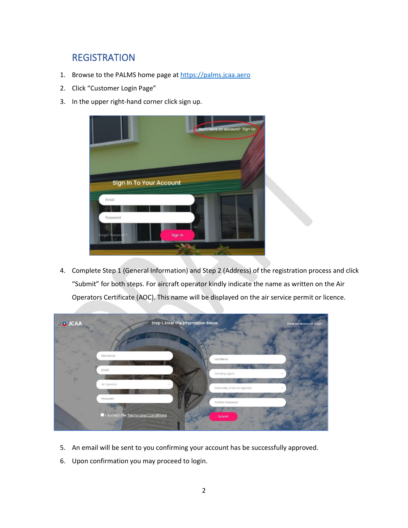#### <span id="page-3-0"></span>**REGISTRATION**

- 1. Browse to the PALMS home page a[t https://palms.jcaa.aero](https://palms.jcaa.aero/)
- 2. Click "Customer Login Page"
- 3. In the upper right-hand corner click sign up.



4. Complete Step 1 (General Information) and Step 2 (Address) of the registration process and click "Submit" for both steps. For aircraft operator kindly indicate the name as written on the Air Operators Certificate (AOC). This name will be displayed on the air service permit or licence.



- 5. An email will be sent to you confirming your account has be successfully approved.
- 6. Upon confirmation you may proceed to login.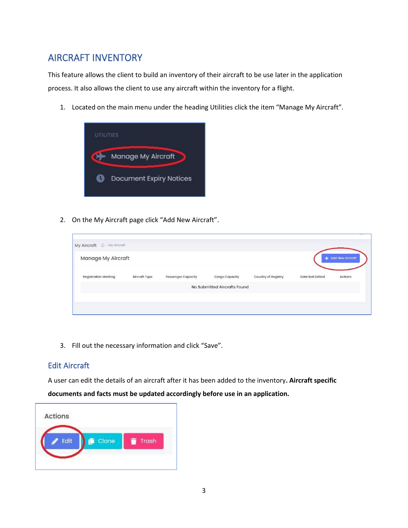#### <span id="page-4-0"></span>AIRCRAFT INVENTORY

This feature allows the client to build an inventory of their aircraft to be use later in the application process. It also allows the client to use any aircraft within the inventory for a flight.

1. Located on the main menu under the heading Utilities click the item "Manage My Aircraft".



2. On the My Aircraft page click "Add New Aircraft".



3. Fill out the necessary information and click "Save".

#### <span id="page-4-1"></span>Edit Aircraft

A user can edit the details of an aircraft after it has been added to the inventory**. Aircraft specific** 

**documents and facts must be updated accordingly before use in an application.**

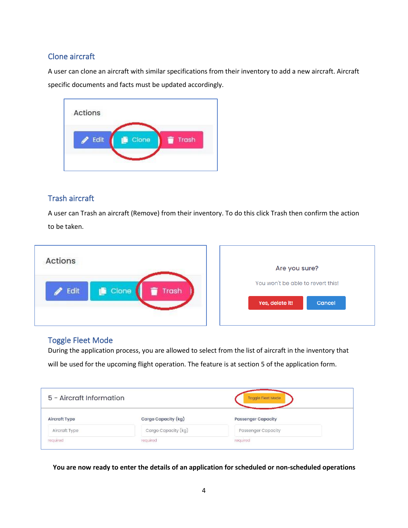#### <span id="page-5-0"></span>Clone aircraft

A user can clone an aircraft with similar specifications from their inventory to add a new aircraft. Aircraft specific documents and facts must be updated accordingly.



#### <span id="page-5-1"></span>Trash aircraft

A user can Trash an aircraft (Remove) from their inventory. To do this click Trash then confirm the action to be taken.



#### <span id="page-5-2"></span>Toggle Fleet Mode

During the application process, you are allowed to select from the list of aircraft in the inventory that will be used for the upcoming flight operation. The feature is at section 5 of the application form.

| 5 - Aircraft Information |                     | Toggle Fleet Mode         |  |  |
|--------------------------|---------------------|---------------------------|--|--|
| Aircraft Type            | Cargo Capacity (kg) | <b>Passenger Capacity</b> |  |  |
| Aircraft Type            | Cargo Capacity (kg) | <b>Passenger Capacity</b> |  |  |
| required                 | required            | required                  |  |  |

**You are now ready to enter the details of an application for scheduled or non-scheduled operations**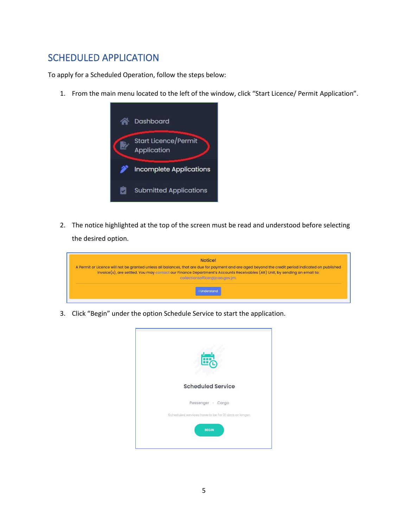### <span id="page-6-0"></span>SCHEDULED APPLICATION

To apply for a Scheduled Operation, follow the steps below:

1. From the main menu located to the left of the window, click "Start Licence/ Permit Application".



2. The notice highlighted at the top of the screen must be read and understood before selecting the desired option.

| Notice!                                                                                                                                                                                                                                                                                                            |
|--------------------------------------------------------------------------------------------------------------------------------------------------------------------------------------------------------------------------------------------------------------------------------------------------------------------|
| A Permit or Licence will not be granted unless all balances, that are due for payment and are aged beyond the credit period indicated on published<br>invoice(s), are settled. You may contact our Finance Department's Accounts Receivables (AR) Unit, by sending an email to:<br>collectionsofficer@jcaa.gov.jm. |
| <b>I</b> Understand                                                                                                                                                                                                                                                                                                |

3. Click "Begin" under the option Schedule Service to start the application.

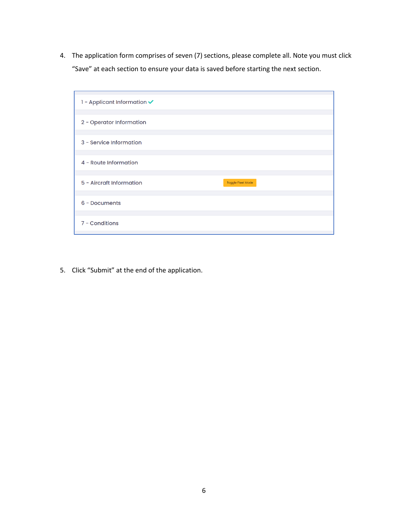4. The application form comprises of seven (7) sections, please complete all. Note you must click "Save" at each section to ensure your data is saved before starting the next section.



5. Click "Submit" at the end of the application.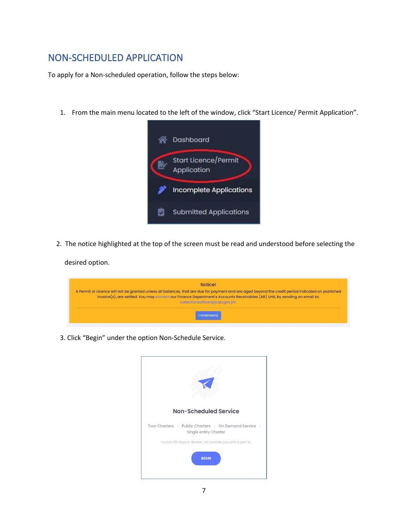### <span id="page-8-0"></span>NON-SCHEDULED APPLICATION

To apply for a Non-scheduled operation, follow the steps below:

1. From the main menu located to the left of the window, click "Start Licence/ Permit Application".



2. The notice highlighted at the top of the screen must be read and understood before selecting the

desired option.

| <b>Notice!</b>                                                                                                                                                                                                                                                                                                     |
|--------------------------------------------------------------------------------------------------------------------------------------------------------------------------------------------------------------------------------------------------------------------------------------------------------------------|
| A Permit or Licence will not be granted unless all balances, that are due for payment and are aged beyond the credit period indicated on published<br>invoice(s), are settled. You may contact our Finance Department's Accounts Receivables (AR) Unit, by sending an email to:<br>collectionsofficer@jcaa.gov.jm. |
| <b>I</b> Understand                                                                                                                                                                                                                                                                                                |

3. Click "Begin" under the option Non-Schedule Service.

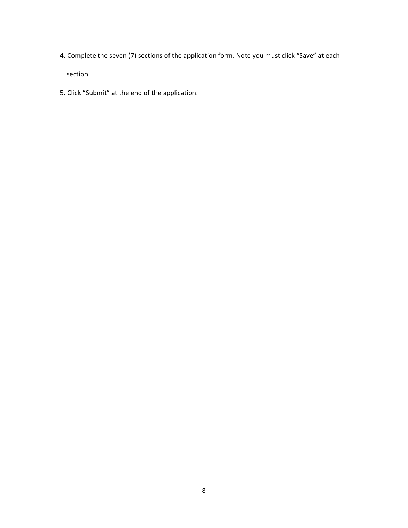- 4. Complete the seven (7) sections of the application form. Note you must click "Save" at each section.
- 5. Click "Submit" at the end of the application.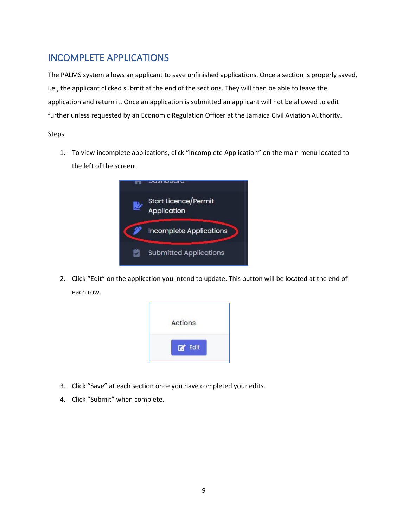#### <span id="page-10-0"></span>INCOMPLETE APPLICATIONS

The PALMS system allows an applicant to save unfinished applications. Once a section is properly saved, i.e., the applicant clicked submit at the end of the sections. They will then be able to leave the application and return it. Once an application is submitted an applicant will not be allowed to edit further unless requested by an Economic Regulation Officer at the Jamaica Civil Aviation Authority.

Steps

1. To view incomplete applications, click "Incomplete Application" on the main menu located to the left of the screen.



2. Click "Edit" on the application you intend to update. This button will be located at the end of each row.



- 3. Click "Save" at each section once you have completed your edits.
- 4. Click "Submit" when complete.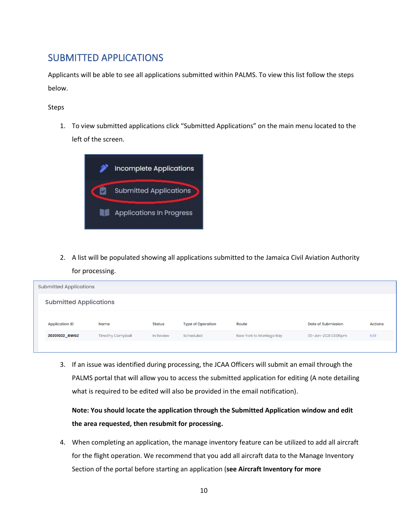#### <span id="page-11-0"></span>SUBMITTED APPLICATIONS

Applicants will be able to see all applications submitted within PALMS. To view this list follow the steps below.

Steps

1. To view submitted applications click "Submitted Applications" on the main menu located to the left of the screen.



2. A list will be populated showing all applications submitted to the Jamaica Civil Aviation Authority for processing.

|                               | <b>Submitted Applications</b> |                         |               |                          |                         |                     |                |  |
|-------------------------------|-------------------------------|-------------------------|---------------|--------------------------|-------------------------|---------------------|----------------|--|
| <b>Submitted Applications</b> |                               |                         |               |                          |                         |                     |                |  |
| <b>Application ID</b><br>Name |                               |                         | <b>Status</b> | <b>Type of Operation</b> | Route                   | Date of Submission  | <b>Actions</b> |  |
|                               | 20201022_BWGZ                 | <b>Timothy Campbell</b> | In Review     | Scheduled                | New York to Montego Bay | 05-Jan-2021 03:05pm | Edit           |  |
|                               |                               |                         |               |                          |                         |                     |                |  |

3. If an issue was identified during processing, the JCAA Officers will submit an email through the PALMS portal that will allow you to access the submitted application for editing (A note detailing what is required to be edited will also be provided in the email notification).

**Note: You should locate the application through the Submitted Application window and edit the area requested, then resubmit for processing.**

4. When completing an application, the manage inventory feature can be utilized to add all aircraft for the flight operation. We recommend that you add all aircraft data to the Manage Inventory Section of the portal before starting an application (**see Aircraft Inventory for more**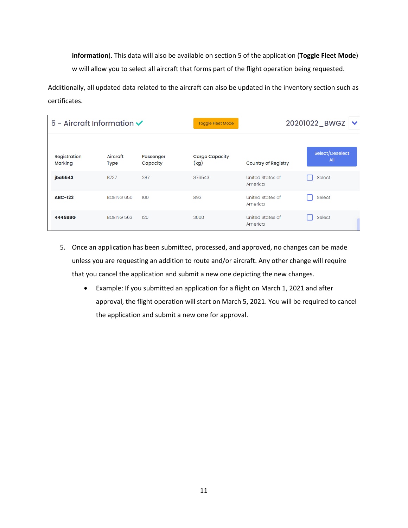**information**). This data will also be available on section 5 of the application (**Toggle Fleet Mode**) w will allow you to select all aircraft that forms part of the flight operation being requested.

Additionally, all updated data related to the aircraft can also be updated in the inventory section such as certificates.

| $5$ - Aircraft Information $\checkmark$ |                         |                       | <b>Toggle Fleet Mode</b>      | 20201022_BWGZ V             |                        |  |  |
|-----------------------------------------|-------------------------|-----------------------|-------------------------------|-----------------------------|------------------------|--|--|
| Registration<br>Marking                 | Aircraft<br><b>Type</b> | Passenger<br>Capacity | <b>Cargo Capacity</b><br>(kg) | <b>Country of Registry</b>  | Select/Deselect<br>All |  |  |
| jba5543                                 | <b>B737</b>             | 287                   | 876543                        | United States of<br>America | Select                 |  |  |
| <b>ABC-123</b>                          | BOEING 650              | 100                   | 893                           | United States of<br>America | Select                 |  |  |
| 4445BBG                                 | <b>BOEING 563</b>       | 120                   | 3000                          | United States of<br>America | Select                 |  |  |

- 5. Once an application has been submitted, processed, and approved, no changes can be made unless you are requesting an addition to route and/or aircraft. Any other change will require that you cancel the application and submit a new one depicting the new changes.
	- Example: If you submitted an application for a flight on March 1, 2021 and after approval, the flight operation will start on March 5, 2021. You will be required to cancel the application and submit a new one for approval.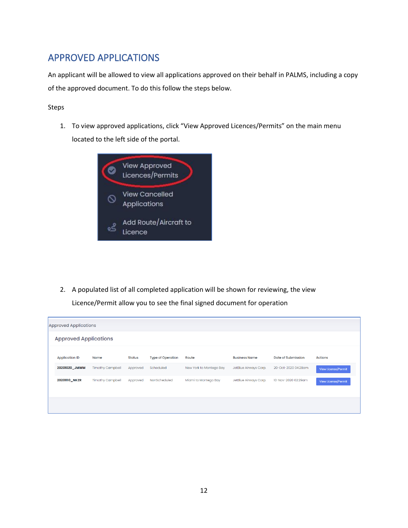## <span id="page-13-0"></span>APPROVED APPLICATIONS

An applicant will be allowed to view all applications approved on their behalf in PALMS, including a copy of the approved document. To do this follow the steps below.

Steps

1. To view approved applications, click "View Approved Licences/Permits" on the main menu located to the left side of the portal.



2. A populated list of all completed application will be shown for reviewing, the view Licence/Permit allow you to see the final signed document for operation

| <b>Approved Applications</b><br><b>Type of Operation</b><br><b>Date of Submission</b><br><b>Application ID</b><br>Route<br><b>Business Name</b><br><b>Actions</b><br>Name<br><b>Status</b><br>20201020_JMWM<br><b>Timothy Campbell</b><br>New York to Montego Bay<br>JetBlue Airways Corp.<br>20-Oct-2020 04:28am<br>Approved<br>Scheduled<br><b>Timothy Campbell</b><br>Miami to Montego Bay<br>10-Nov-2020 02:29am<br>20201110_NKZR<br>NonScheduled<br>JetBlue Airways Corp.<br>Approved | <b>Approved Applications</b> |  |  |  |  |  |  |  |  |  |
|--------------------------------------------------------------------------------------------------------------------------------------------------------------------------------------------------------------------------------------------------------------------------------------------------------------------------------------------------------------------------------------------------------------------------------------------------------------------------------------------|------------------------------|--|--|--|--|--|--|--|--|--|
|                                                                                                                                                                                                                                                                                                                                                                                                                                                                                            |                              |  |  |  |  |  |  |  |  |  |
|                                                                                                                                                                                                                                                                                                                                                                                                                                                                                            |                              |  |  |  |  |  |  |  |  |  |
|                                                                                                                                                                                                                                                                                                                                                                                                                                                                                            | View License/Permit          |  |  |  |  |  |  |  |  |  |
|                                                                                                                                                                                                                                                                                                                                                                                                                                                                                            | View License/Permit          |  |  |  |  |  |  |  |  |  |
|                                                                                                                                                                                                                                                                                                                                                                                                                                                                                            |                              |  |  |  |  |  |  |  |  |  |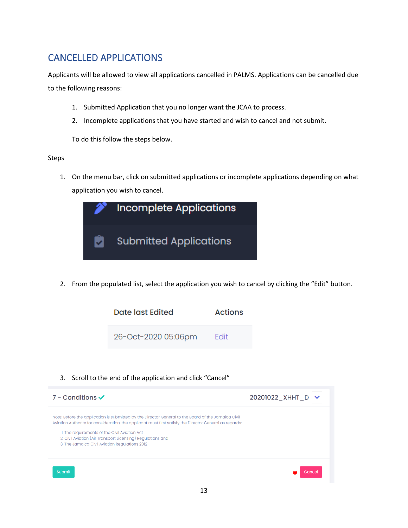## <span id="page-14-0"></span>CANCELLED APPLICATIONS

Applicants will be allowed to view all applications cancelled in PALMS. Applications can be cancelled due to the following reasons:

- 1. Submitted Application that you no longer want the JCAA to process.
- 2. Incomplete applications that you have started and wish to cancel and not submit.

To do this follow the steps below.

Steps

1. On the menu bar, click on submitted applications or incomplete applications depending on what application you wish to cancel.



2. From the populated list, select the application you wish to cancel by clicking the "Edit" button.



#### 3. Scroll to the end of the application and click "Cancel"

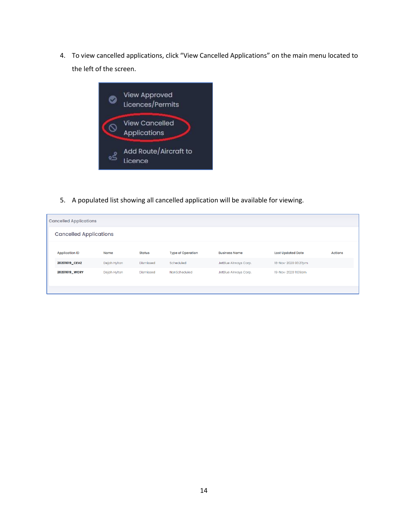4. To view cancelled applications, click "View Cancelled Applications" on the main menu located to the left of the screen.



5. A populated list showing all cancelled application will be available for viewing.

|                               | <b>Cancelled Applications</b> |              |               |                          |                       |                          |                |  |  |
|-------------------------------|-------------------------------|--------------|---------------|--------------------------|-----------------------|--------------------------|----------------|--|--|
| <b>Cancelled Applications</b> |                               |              |               |                          |                       |                          |                |  |  |
|                               |                               |              |               |                          |                       |                          |                |  |  |
|                               | <b>Application ID</b>         | Name         | <b>Status</b> | <b>Type of Operation</b> | <b>Business Name</b>  | <b>Last Updated Date</b> | <b>Actions</b> |  |  |
|                               | 20201019_CEVZ                 | Dejah Hylton | Dismissed     | Scheduled                | JetBlue Airways Corp. | 18-Nov-2020 03:27pm      |                |  |  |
|                               | 20201019_WCRY                 | Dejah Hylton | Dismissed     | NonScheduled             | JetBlue Airways Corp. | 19-Nov-2020 11:09am      |                |  |  |
|                               |                               |              |               |                          |                       |                          |                |  |  |
|                               |                               |              |               |                          |                       |                          |                |  |  |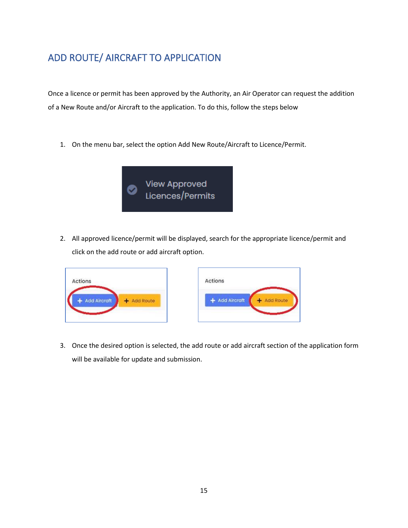# <span id="page-16-0"></span>ADD ROUTE/ AIRCRAFT TO APPLICATION

Once a licence or permit has been approved by the Authority, an Air Operator can request the addition of a New Route and/or Aircraft to the application. To do this, follow the steps below

1. On the menu bar, select the option Add New Route/Aircraft to Licence/Permit.



2. All approved licence/permit will be displayed, search for the appropriate licence/permit and click on the add route or add aircraft option.





3. Once the desired option is selected, the add route or add aircraft section of the application form will be available for update and submission.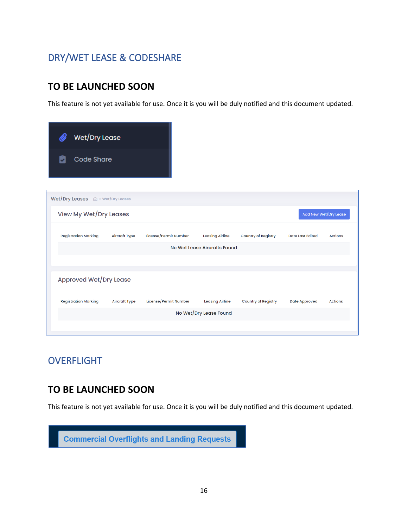# <span id="page-17-0"></span>DRY/WET LEASE & CODESHARE

#### **TO BE LAUNCHED SOON**

This feature is not yet available for use. Once it is you will be duly notified and this document updated.

| Wet/Dry Lease                                   |                      |                       |                              |                            |                         |                |
|-------------------------------------------------|----------------------|-----------------------|------------------------------|----------------------------|-------------------------|----------------|
| <b>Code Share</b>                               |                      |                       |                              |                            |                         |                |
|                                                 |                      |                       |                              |                            |                         |                |
|                                                 |                      |                       |                              |                            |                         |                |
| View My Wet/Dry Leases<br>Add New Wet/Dry Lease |                      |                       |                              |                            |                         |                |
| <b>Registration Marking</b>                     | <b>Aircraft Type</b> | License/Permit Number | <b>Leasing Airline</b>       | <b>Country of Registry</b> | <b>Date Last Edited</b> | <b>Actions</b> |
|                                                 |                      |                       | No Wet Lease Aircrafts Found |                            |                         |                |
|                                                 |                      |                       |                              |                            |                         |                |
| Approved Wet/Dry Lease                          |                      |                       |                              |                            |                         |                |
| <b>Registration Marking</b>                     | <b>Aircraft Type</b> | License/Permit Number | <b>Leasing Airline</b>       | <b>Country of Registry</b> | <b>Date Approved</b>    | <b>Actions</b> |
|                                                 |                      |                       | No Wet/Dry Lease Found       |                            |                         |                |
|                                                 |                      |                       |                              |                            |                         |                |

#### <span id="page-17-1"></span>**OVERFLIGHT**

#### **TO BE LAUNCHED SOON**

This feature is not yet available for use. Once it is you will be duly notified and this document updated.